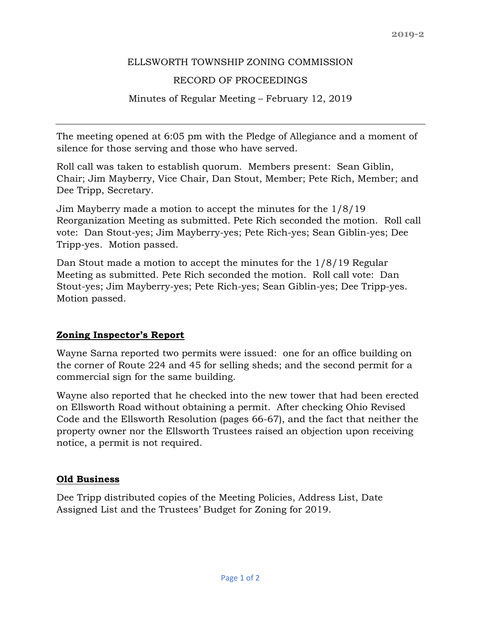#### ELLSWORTH TOWNSHIP ZONING COMMISSION

### RECORD OF PROCEEDINGS

Minutes of Regular Meeting – February 12, 2019

The meeting opened at 6:05 pm with the Pledge of Allegiance and a moment of silence for those serving and those who have served.

Roll call was taken to establish quorum. Members present: Sean Giblin, Chair; Jim Mayberry, Vice Chair, Dan Stout, Member; Pete Rich, Member; and Dee Tripp, Secretary.

Jim Mayberry made a motion to accept the minutes for the 1/8/19 Reorganization Meeting as submitted. Pete Rich seconded the motion. Roll call vote: Dan Stout-yes; Jim Mayberry-yes; Pete Rich-yes; Sean Giblin-yes; Dee Tripp-yes. Motion passed.

Dan Stout made a motion to accept the minutes for the 1/8/19 Regular Meeting as submitted. Pete Rich seconded the motion. Roll call vote: Dan Stout-yes; Jim Mayberry-yes; Pete Rich-yes; Sean Giblin-yes; Dee Tripp-yes. Motion passed.

# **Zoning Inspector's Report**

Wayne Sarna reported two permits were issued: one for an office building on the corner of Route 224 and 45 for selling sheds; and the second permit for a commercial sign for the same building.

Wayne also reported that he checked into the new tower that had been erected on Ellsworth Road without obtaining a permit. After checking Ohio Revised Code and the Ellsworth Resolution (pages 66-67), and the fact that neither the property owner nor the Ellsworth Trustees raised an objection upon receiving notice, a permit is not required.

# **Old Business**

Dee Tripp distributed copies of the Meeting Policies, Address List, Date Assigned List and the Trustees' Budget for Zoning for 2019.